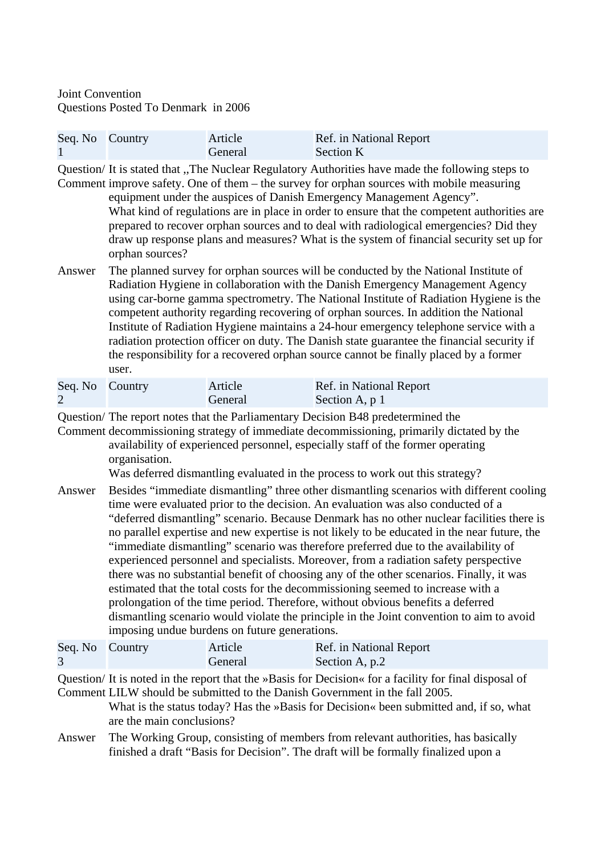Joint Convention Questions Posted To Denmark in 2006

| Seq. No Country | Article | Ref. in National Report |
|-----------------|---------|-------------------------|
|                 | General | Section K               |

Question/ It is stated that ,,The Nuclear Regulatory Authorities have made the following steps to Comment improve safety. One of them – the survey for orphan sources with mobile measuring

equipment under the auspices of Danish Emergency Management Agency". What kind of regulations are in place in order to ensure that the competent authorities are prepared to recover orphan sources and to deal with radiological emergencies? Did they draw up response plans and measures? What is the system of financial security set up for orphan sources?

Answer The planned survey for orphan sources will be conducted by the National Institute of Radiation Hygiene in collaboration with the Danish Emergency Management Agency using car-borne gamma spectrometry. The National Institute of Radiation Hygiene is the competent authority regarding recovering of orphan sources. In addition the National Institute of Radiation Hygiene maintains a 24-hour emergency telephone service with a radiation protection officer on duty. The Danish state guarantee the financial security if the responsibility for a recovered orphan source cannot be finally placed by a former user.

| Seq. No Country | Article | Ref. in National Report |
|-----------------|---------|-------------------------|
|                 | General | Section A, p 1          |

Question/ The report notes that the Parliamentary Decision B48 predetermined the

Comment decommissioning strategy of immediate decommissioning, primarily dictated by the availability of experienced personnel, especially staff of the former operating organisation.

Was deferred dismantling evaluated in the process to work out this strategy?

Answer Besides "immediate dismantling" three other dismantling scenarios with different cooling time were evaluated prior to the decision. An evaluation was also conducted of a "deferred dismantling" scenario. Because Denmark has no other nuclear facilities there is no parallel expertise and new expertise is not likely to be educated in the near future, the "immediate dismantling" scenario was therefore preferred due to the availability of experienced personnel and specialists. Moreover, from a radiation safety perspective there was no substantial benefit of choosing any of the other scenarios. Finally, it was estimated that the total costs for the decommissioning seemed to increase with a prolongation of the time period. Therefore, without obvious benefits a deferred dismantling scenario would violate the principle in the Joint convention to aim to avoid imposing undue burdens on future generations.

| Seq. No Country | Article | Ref. in National Report |
|-----------------|---------|-------------------------|
|                 | General | Section A, p.2          |

Question/ It is noted in the report that the »Basis for Decision« for a facility for final disposal of Comment LILW should be submitted to the Danish Government in the fall 2005.

What is the status today? Has the »Basis for Decision« been submitted and, if so, what are the main conclusions?

Answer The Working Group, consisting of members from relevant authorities, has basically finished a draft "Basis for Decision". The draft will be formally finalized upon a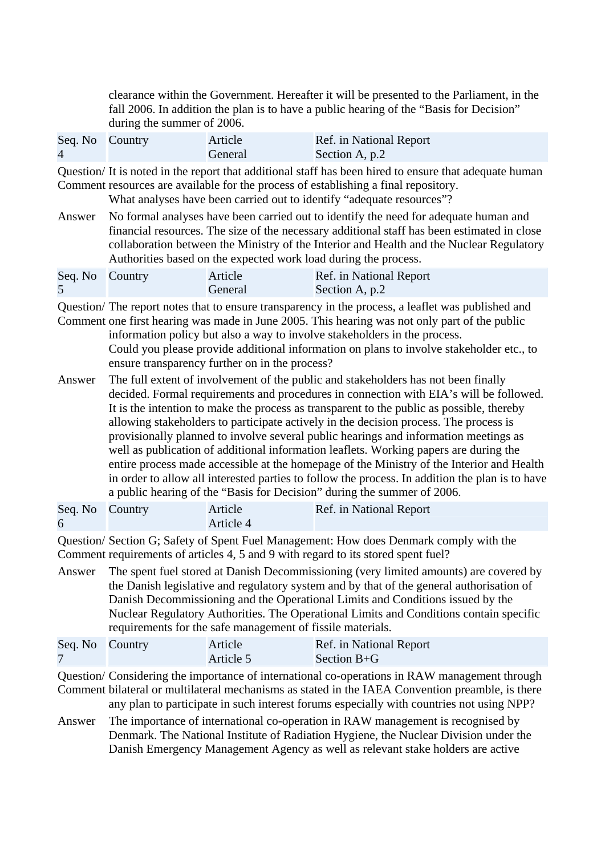clearance within the Government. Hereafter it will be presented to the Parliament, in the fall 2006. In addition the plan is to have a public hearing of the "Basis for Decision" during the summer of 2006.

| Seq. No Country |                                                                                                                                                                                                                                                                                                                                                    | Article | Ref. in National Report                                                                                                                                                                                                                                               |
|-----------------|----------------------------------------------------------------------------------------------------------------------------------------------------------------------------------------------------------------------------------------------------------------------------------------------------------------------------------------------------|---------|-----------------------------------------------------------------------------------------------------------------------------------------------------------------------------------------------------------------------------------------------------------------------|
| $\overline{4}$  |                                                                                                                                                                                                                                                                                                                                                    | General | Section A, p.2                                                                                                                                                                                                                                                        |
|                 |                                                                                                                                                                                                                                                                                                                                                    |         | Question/It is noted in the report that additional staff has been hired to ensure that adequate human<br>Comment resources are available for the process of establishing a final repository.<br>What analyses have been carried out to identify "adequate resources"? |
| Answer          | No formal analyses have been carried out to identify the need for adequate human and<br>financial resources. The size of the necessary additional staff has been estimated in close<br>collaboration between the Ministry of the Interior and Health and the Nuclear Regulatory<br>Authorities based on the expected work load during the process. |         |                                                                                                                                                                                                                                                                       |
| Seq. No         | Country                                                                                                                                                                                                                                                                                                                                            | Article | Ref. in National Report                                                                                                                                                                                                                                               |
| 5               |                                                                                                                                                                                                                                                                                                                                                    | General | Section A, p.2                                                                                                                                                                                                                                                        |

Question/ The report notes that to ensure transparency in the process, a leaflet was published and Comment one first hearing was made in June 2005. This hearing was not only part of the public information policy but also a way to involve stakeholders in the process. Could you please provide additional information on plans to involve stakeholder etc., to

ensure transparency further on in the process?

Answer The full extent of involvement of the public and stakeholders has not been finally decided. Formal requirements and procedures in connection with EIA's will be followed. It is the intention to make the process as transparent to the public as possible, thereby allowing stakeholders to participate actively in the decision process. The process is provisionally planned to involve several public hearings and information meetings as well as publication of additional information leaflets. Working papers are during the entire process made accessible at the homepage of the Ministry of the Interior and Health in order to allow all interested parties to follow the process. In addition the plan is to have a public hearing of the "Basis for Decision" during the summer of 2006.

| Seq. No Country | Article   | Ref. in National Report |
|-----------------|-----------|-------------------------|
|                 | Article 4 |                         |

Question/ Section G; Safety of Spent Fuel Management: How does Denmark comply with the Comment requirements of articles 4, 5 and 9 with regard to its stored spent fuel?

Answer The spent fuel stored at Danish Decommissioning (very limited amounts) are covered by the Danish legislative and regulatory system and by that of the general authorisation of Danish Decommissioning and the Operational Limits and Conditions issued by the Nuclear Regulatory Authorities. The Operational Limits and Conditions contain specific requirements for the safe management of fissile materials.

| Seq. No Country | Article   | Ref. in National Report |
|-----------------|-----------|-------------------------|
|                 | Article 5 | Section $B + G$         |

Question/ Considering the importance of international co-operations in RAW management through Comment bilateral or multilateral mechanisms as stated in the IAEA Convention preamble, is there any plan to participate in such interest forums especially with countries not using NPP?

Answer The importance of international co-operation in RAW management is recognised by Denmark. The National Institute of Radiation Hygiene, the Nuclear Division under the Danish Emergency Management Agency as well as relevant stake holders are active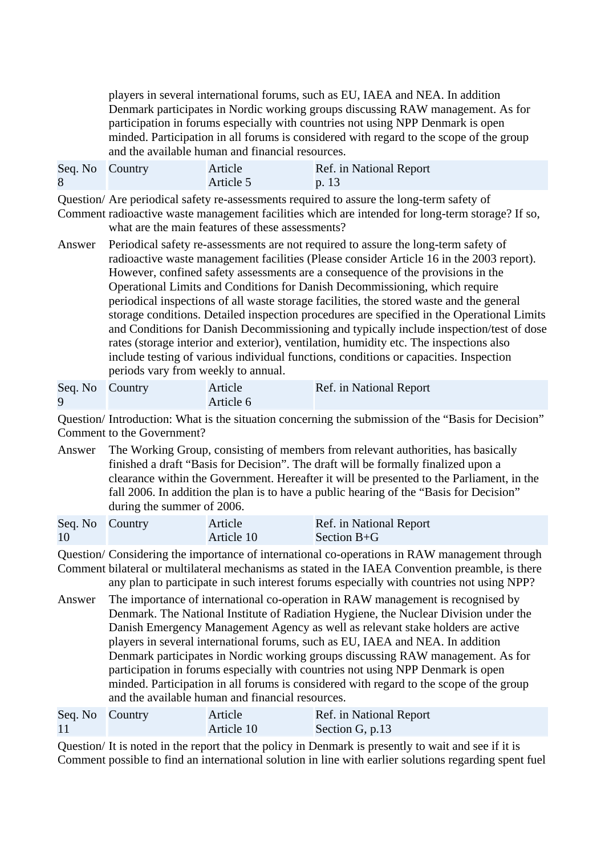players in several international forums, such as EU, IAEA and NEA. In addition Denmark participates in Nordic working groups discussing RAW management. As for participation in forums especially with countries not using NPP Denmark is open minded. Participation in all forums is considered with regard to the scope of the group and the available human and financial resources.

| Seq. No Country | Article   | Ref. in National Report |
|-----------------|-----------|-------------------------|
|                 | Article 5 | p.13                    |

Question/ Are periodical safety re-assessments required to assure the long-term safety of Comment radioactive waste management facilities which are intended for long-term storage? If so,

- what are the main features of these assessments?
- Answer Periodical safety re-assessments are not required to assure the long-term safety of radioactive waste management facilities (Please consider Article 16 in the 2003 report). However, confined safety assessments are a consequence of the provisions in the Operational Limits and Conditions for Danish Decommissioning, which require periodical inspections of all waste storage facilities, the stored waste and the general storage conditions. Detailed inspection procedures are specified in the Operational Limits and Conditions for Danish Decommissioning and typically include inspection/test of dose rates (storage interior and exterior), ventilation, humidity etc. The inspections also include testing of various individual functions, conditions or capacities. Inspection periods vary from weekly to annual.

| Seq. No Country | Article   | Ref. in National Report |
|-----------------|-----------|-------------------------|
|                 | Article 6 |                         |

Question/ Introduction: What is the situation concerning the submission of the "Basis for Decision" Comment to the Government?

Answer The Working Group, consisting of members from relevant authorities, has basically finished a draft "Basis for Decision". The draft will be formally finalized upon a clearance within the Government. Hereafter it will be presented to the Parliament, in the fall 2006. In addition the plan is to have a public hearing of the "Basis for Decision" during the summer of 2006.

| Seq. No Country | Article    | Ref. in National Report |
|-----------------|------------|-------------------------|
| <sup>10</sup>   | Article 10 | Section $B + G$         |

Question/ Considering the importance of international co-operations in RAW management through Comment bilateral or multilateral mechanisms as stated in the IAEA Convention preamble, is there

any plan to participate in such interest forums especially with countries not using NPP?

Answer The importance of international co-operation in RAW management is recognised by Denmark. The National Institute of Radiation Hygiene, the Nuclear Division under the Danish Emergency Management Agency as well as relevant stake holders are active players in several international forums, such as EU, IAEA and NEA. In addition Denmark participates in Nordic working groups discussing RAW management. As for participation in forums especially with countries not using NPP Denmark is open minded. Participation in all forums is considered with regard to the scope of the group and the available human and financial resources.

| Seq. No Country | Article    | Ref. in National Report |
|-----------------|------------|-------------------------|
| 11              | Article 10 | Section G, p.13         |

Question/ It is noted in the report that the policy in Denmark is presently to wait and see if it is Comment possible to find an international solution in line with earlier solutions regarding spent fuel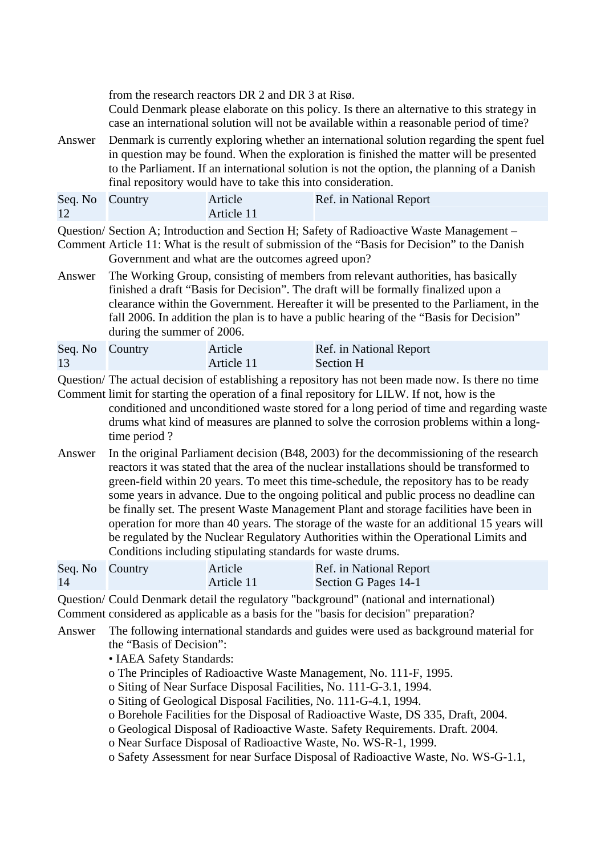from the research reactors DR 2 and DR 3 at Risø.

Could Denmark please elaborate on this policy. Is there an alternative to this strategy in case an international solution will not be available within a reasonable period of time?

Answer Denmark is currently exploring whether an international solution regarding the spent fuel in question may be found. When the exploration is finished the matter will be presented to the Parliament. If an international solution is not the option, the planning of a Danish final repository would have to take this into consideration.

| Seq. No Country | Article    | Ref. in National Report |
|-----------------|------------|-------------------------|
|                 | Article 11 |                         |

Question/ Section A; Introduction and Section H; Safety of Radioactive Waste Management –

Comment Article 11: What is the result of submission of the "Basis for Decision" to the Danish Government and what are the outcomes agreed upon?

Answer The Working Group, consisting of members from relevant authorities, has basically finished a draft "Basis for Decision". The draft will be formally finalized upon a clearance within the Government. Hereafter it will be presented to the Parliament, in the fall 2006. In addition the plan is to have a public hearing of the "Basis for Decision" during the summer of 2006.

| Seq. No Country | Article    | Ref. in National Report |
|-----------------|------------|-------------------------|
| 13              | Article 11 | Section H               |

Question/ The actual decision of establishing a repository has not been made now. Is there no time

- Comment limit for starting the operation of a final repository for LILW. If not, how is the conditioned and unconditioned waste stored for a long period of time and regarding waste drums what kind of measures are planned to solve the corrosion problems within a longtime period ?
- Answer In the original Parliament decision (B48, 2003) for the decommissioning of the research reactors it was stated that the area of the nuclear installations should be transformed to green-field within 20 years. To meet this time-schedule, the repository has to be ready some years in advance. Due to the ongoing political and public process no deadline can be finally set. The present Waste Management Plant and storage facilities have been in operation for more than 40 years. The storage of the waste for an additional 15 years will be regulated by the Nuclear Regulatory Authorities within the Operational Limits and Conditions including stipulating standards for waste drums.

| Seq. No Country | Article    | Ref. in National Report |
|-----------------|------------|-------------------------|
| 14              | Article 11 | Section G Pages 14-1    |

Question/ Could Denmark detail the regulatory "background" (national and international) Comment considered as applicable as a basis for the "basis for decision" preparation?

Answer The following international standards and guides were used as background material for the "Basis of Decision":

• IAEA Safety Standards:

- o The Principles of Radioactive Waste Management, No. 111-F, 1995.
- o Siting of Near Surface Disposal Facilities, No. 111-G-3.1, 1994.
- o Siting of Geological Disposal Facilities, No. 111-G-4.1, 1994.
- o Borehole Facilities for the Disposal of Radioactive Waste, DS 335, Draft, 2004.
- o Geological Disposal of Radioactive Waste. Safety Requirements. Draft. 2004.
- o Near Surface Disposal of Radioactive Waste, No. WS-R-1, 1999.
- o Safety Assessment for near Surface Disposal of Radioactive Waste, No. WS-G-1.1,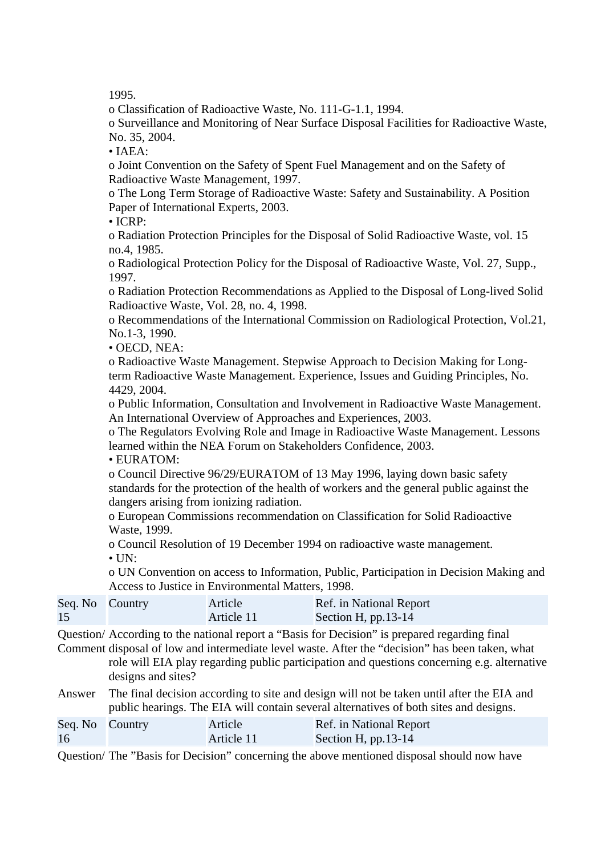1995.

o Classification of Radioactive Waste, No. 111-G-1.1, 1994.

o Surveillance and Monitoring of Near Surface Disposal Facilities for Radioactive Waste, No. 35, 2004.

• IAEA:

o Joint Convention on the Safety of Spent Fuel Management and on the Safety of Radioactive Waste Management, 1997.

o The Long Term Storage of Radioactive Waste: Safety and Sustainability. A Position Paper of International Experts, 2003.

• ICRP:

o Radiation Protection Principles for the Disposal of Solid Radioactive Waste, vol. 15 no.4, 1985.

o Radiological Protection Policy for the Disposal of Radioactive Waste, Vol. 27, Supp., 1997.

o Radiation Protection Recommendations as Applied to the Disposal of Long-lived Solid Radioactive Waste, Vol. 28, no. 4, 1998.

o Recommendations of the International Commission on Radiological Protection, Vol.21, No.1-3, 1990.

• OECD, NEA:

o Radioactive Waste Management. Stepwise Approach to Decision Making for Longterm Radioactive Waste Management. Experience, Issues and Guiding Principles, No. 4429, 2004.

o Public Information, Consultation and Involvement in Radioactive Waste Management. An International Overview of Approaches and Experiences, 2003.

o The Regulators Evolving Role and Image in Radioactive Waste Management. Lessons learned within the NEA Forum on Stakeholders Confidence, 2003.

• EURATOM:

o Council Directive 96/29/EURATOM of 13 May 1996, laying down basic safety standards for the protection of the health of workers and the general public against the dangers arising from ionizing radiation.

o European Commissions recommendation on Classification for Solid Radioactive Waste, 1999.

o Council Resolution of 19 December 1994 on radioactive waste management.

 $\bullet$  UN:

o UN Convention on access to Information, Public, Participation in Decision Making and Access to Justice in Environmental Matters, 1998.

| Seq. No Country | Article    | Ref. in National Report |
|-----------------|------------|-------------------------|
| 15              | Article 11 | Section H, $pp.13-14$   |

Question/ According to the national report a "Basis for Decision" is prepared regarding final

Comment disposal of low and intermediate level waste. After the "decision" has been taken, what role will EIA play regarding public participation and questions concerning e.g. alternative designs and sites?

Answer The final decision according to site and design will not be taken until after the EIA and public hearings. The EIA will contain several alternatives of both sites and designs.

| Seq. No Country | Article    | Ref. in National Report |
|-----------------|------------|-------------------------|
| 16              | Article 11 | Section H, $pp.13-14$   |

Question/ The "Basis for Decision" concerning the above mentioned disposal should now have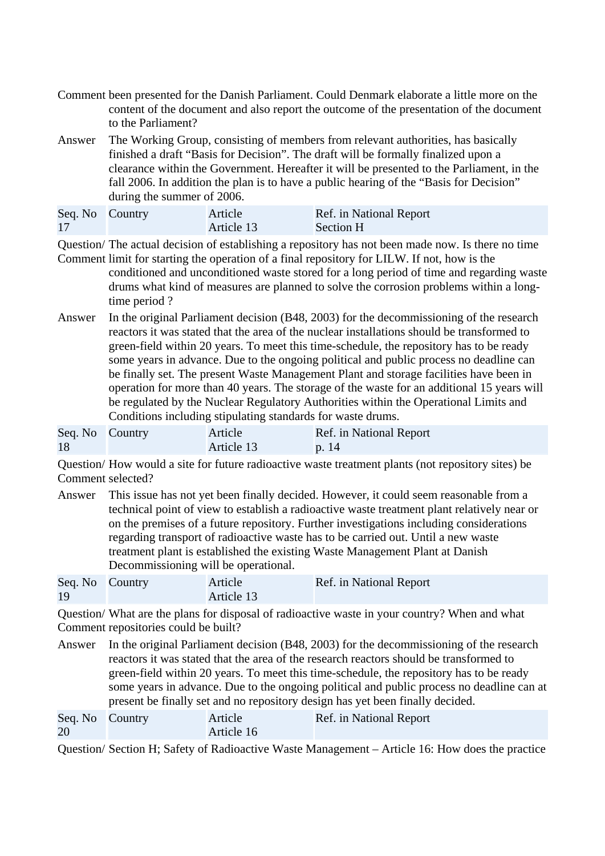- Comment been presented for the Danish Parliament. Could Denmark elaborate a little more on the content of the document and also report the outcome of the presentation of the document to the Parliament?
- Answer The Working Group, consisting of members from relevant authorities, has basically finished a draft "Basis for Decision". The draft will be formally finalized upon a clearance within the Government. Hereafter it will be presented to the Parliament, in the fall 2006. In addition the plan is to have a public hearing of the "Basis for Decision" during the summer of 2006.

| Seq. No Country | Article    | Ref. in National Report |
|-----------------|------------|-------------------------|
| 17              | Article 13 | Section H               |

Question/ The actual decision of establishing a repository has not been made now. Is there no time

- Comment limit for starting the operation of a final repository for LILW. If not, how is the conditioned and unconditioned waste stored for a long period of time and regarding waste drums what kind of measures are planned to solve the corrosion problems within a longtime period ?
- Answer In the original Parliament decision (B48, 2003) for the decommissioning of the research reactors it was stated that the area of the nuclear installations should be transformed to green-field within 20 years. To meet this time-schedule, the repository has to be ready some years in advance. Due to the ongoing political and public process no deadline can be finally set. The present Waste Management Plant and storage facilities have been in operation for more than 40 years. The storage of the waste for an additional 15 years will be regulated by the Nuclear Regulatory Authorities within the Operational Limits and Conditions including stipulating standards for waste drums.

| Seq. No Country | Article    | Ref. in National Report |
|-----------------|------------|-------------------------|
| 18              | Article 13 | $\vert$ p. 14           |

Question/ How would a site for future radioactive waste treatment plants (not repository sites) be Comment selected?

Answer This issue has not yet been finally decided. However, it could seem reasonable from a technical point of view to establish a radioactive waste treatment plant relatively near or on the premises of a future repository. Further investigations including considerations regarding transport of radioactive waste has to be carried out. Until a new waste treatment plant is established the existing Waste Management Plant at Danish Decommissioning will be operational.

| Seq. No Country | Article    | Ref. in National Report |
|-----------------|------------|-------------------------|
| 19              | Article 13 |                         |

Question/ What are the plans for disposal of radioactive waste in your country? When and what Comment repositories could be built?

Answer In the original Parliament decision (B48, 2003) for the decommissioning of the research reactors it was stated that the area of the research reactors should be transformed to green-field within 20 years. To meet this time-schedule, the repository has to be ready some years in advance. Due to the ongoing political and public process no deadline can at present be finally set and no repository design has yet been finally decided.

| Seq. No Country | Article    | Ref. in National Report |
|-----------------|------------|-------------------------|
| 20              | Article 16 |                         |

Question/ Section H; Safety of Radioactive Waste Management – Article 16: How does the practice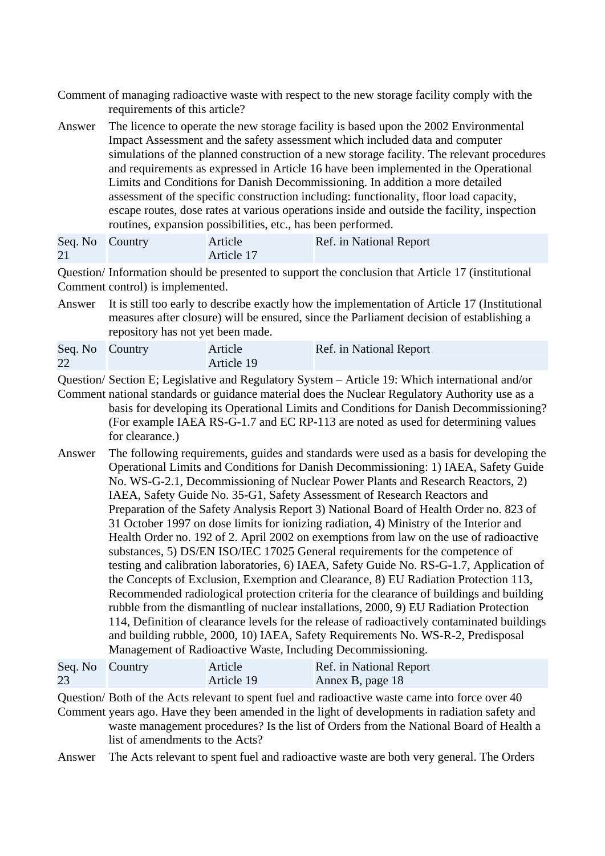- Comment of managing radioactive waste with respect to the new storage facility comply with the requirements of this article?
- Answer The licence to operate the new storage facility is based upon the 2002 Environmental Impact Assessment and the safety assessment which included data and computer simulations of the planned construction of a new storage facility. The relevant procedures and requirements as expressed in Article 16 have been implemented in the Operational Limits and Conditions for Danish Decommissioning. In addition a more detailed assessment of the specific construction including: functionality, floor load capacity, escape routes, dose rates at various operations inside and outside the facility, inspection routines, expansion possibilities, etc., has been performed.

| Seq. No Country | Article    | Ref. in National Report |
|-----------------|------------|-------------------------|
| 21              | Article 17 |                         |

Question/ Information should be presented to support the conclusion that Article 17 (institutional Comment control) is implemented.

Answer It is still too early to describe exactly how the implementation of Article 17 (Institutional measures after closure) will be ensured, since the Parliament decision of establishing a repository has not yet been made.

| Seq. No Country | Article    | Ref. in National Report |
|-----------------|------------|-------------------------|
| 22              | Article 19 |                         |

Question/ Section E; Legislative and Regulatory System – Article 19: Which international and/or

- Comment national standards or guidance material does the Nuclear Regulatory Authority use as a basis for developing its Operational Limits and Conditions for Danish Decommissioning? (For example IAEA RS-G-1.7 and EC RP-113 are noted as used for determining values for clearance.)
- Answer The following requirements, guides and standards were used as a basis for developing the Operational Limits and Conditions for Danish Decommissioning: 1) IAEA, Safety Guide No. WS-G-2.1, Decommissioning of Nuclear Power Plants and Research Reactors, 2) IAEA, Safety Guide No. 35-G1, Safety Assessment of Research Reactors and Preparation of the Safety Analysis Report 3) National Board of Health Order no. 823 of 31 October 1997 on dose limits for ionizing radiation, 4) Ministry of the Interior and Health Order no. 192 of 2. April 2002 on exemptions from law on the use of radioactive substances, 5) DS/EN ISO/IEC 17025 General requirements for the competence of testing and calibration laboratories, 6) IAEA, Safety Guide No. RS-G-1.7, Application of the Concepts of Exclusion, Exemption and Clearance, 8) EU Radiation Protection 113, Recommended radiological protection criteria for the clearance of buildings and building rubble from the dismantling of nuclear installations, 2000, 9) EU Radiation Protection 114, Definition of clearance levels for the release of radioactively contaminated buildings and building rubble, 2000, 10) IAEA, Safety Requirements No. WS-R-2, Predisposal Management of Radioactive Waste, Including Decommissioning.

| Seq. No Country | Article    | Ref. in National Report |
|-----------------|------------|-------------------------|
| 23              | Article 19 | Annex B, page 18        |

Question/ Both of the Acts relevant to spent fuel and radioactive waste came into force over 40 Comment years ago. Have they been amended in the light of developments in radiation safety and waste management procedures? Is the list of Orders from the National Board of Health a list of amendments to the Acts?

Answer The Acts relevant to spent fuel and radioactive waste are both very general. The Orders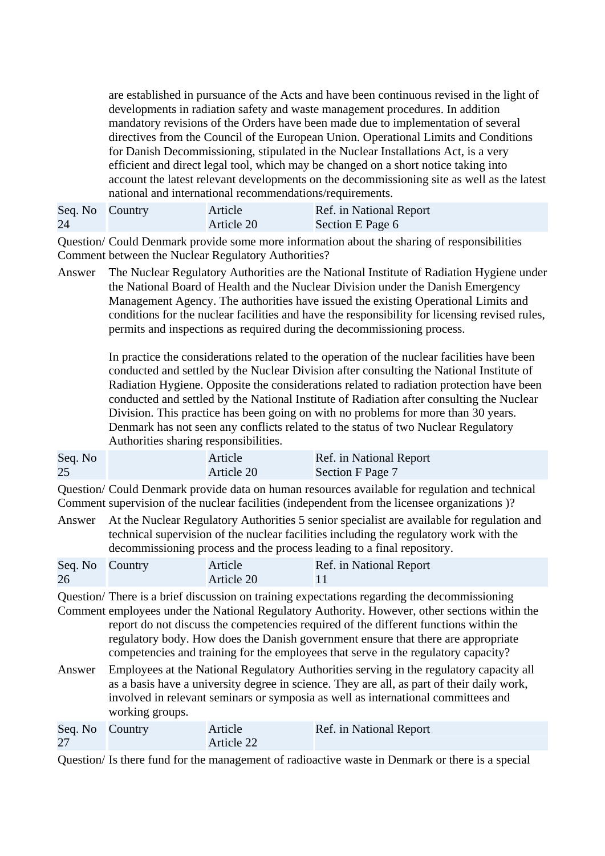are established in pursuance of the Acts and have been continuous revised in the light of developments in radiation safety and waste management procedures. In addition mandatory revisions of the Orders have been made due to implementation of several directives from the Council of the European Union. Operational Limits and Conditions for Danish Decommissioning, stipulated in the Nuclear Installations Act, is a very efficient and direct legal tool, which may be changed on a short notice taking into account the latest relevant developments on the decommissioning site as well as the latest national and international recommendations/requirements.

Seq. No 24 Country Article Article 20 Ref. in National Report Section E Page 6

Question/ Could Denmark provide some more information about the sharing of responsibilities Comment between the Nuclear Regulatory Authorities?

Answer The Nuclear Regulatory Authorities are the National Institute of Radiation Hygiene under the National Board of Health and the Nuclear Division under the Danish Emergency Management Agency. The authorities have issued the existing Operational Limits and conditions for the nuclear facilities and have the responsibility for licensing revised rules, permits and inspections as required during the decommissioning process.

> In practice the considerations related to the operation of the nuclear facilities have been conducted and settled by the Nuclear Division after consulting the National Institute of Radiation Hygiene. Opposite the considerations related to radiation protection have been conducted and settled by the National Institute of Radiation after consulting the Nuclear Division. This practice has been going on with no problems for more than 30 years. Denmark has not seen any conflicts related to the status of two Nuclear Regulatory Authorities sharing responsibilities.

| Seq. No | Article    | Ref. in National Report |
|---------|------------|-------------------------|
| 25      | Article 20 | Section F Page 7        |

Question/ Could Denmark provide data on human resources available for regulation and technical Comment supervision of the nuclear facilities (independent from the licensee organizations )?

Answer At the Nuclear Regulatory Authorities 5 senior specialist are available for regulation and technical supervision of the nuclear facilities including the regulatory work with the decommissioning process and the process leading to a final repository.

| Seq. No Country | Article    | Ref. in National Report |
|-----------------|------------|-------------------------|
| 26              | Article 20 |                         |

Question/ There is a brief discussion on training expectations regarding the decommissioning Comment employees under the National Regulatory Authority. However, other sections within the report do not discuss the competencies required of the different functions within the regulatory body. How does the Danish government ensure that there are appropriate competencies and training for the employees that serve in the regulatory capacity?

Answer Employees at the National Regulatory Authorities serving in the regulatory capacity all as a basis have a university degree in science. They are all, as part of their daily work, involved in relevant seminars or symposia as well as international committees and working groups.

| Seq. No Country | Article    | Ref. in National Report |
|-----------------|------------|-------------------------|
| 27              | Article 22 |                         |

Question/ Is there fund for the management of radioactive waste in Denmark or there is a special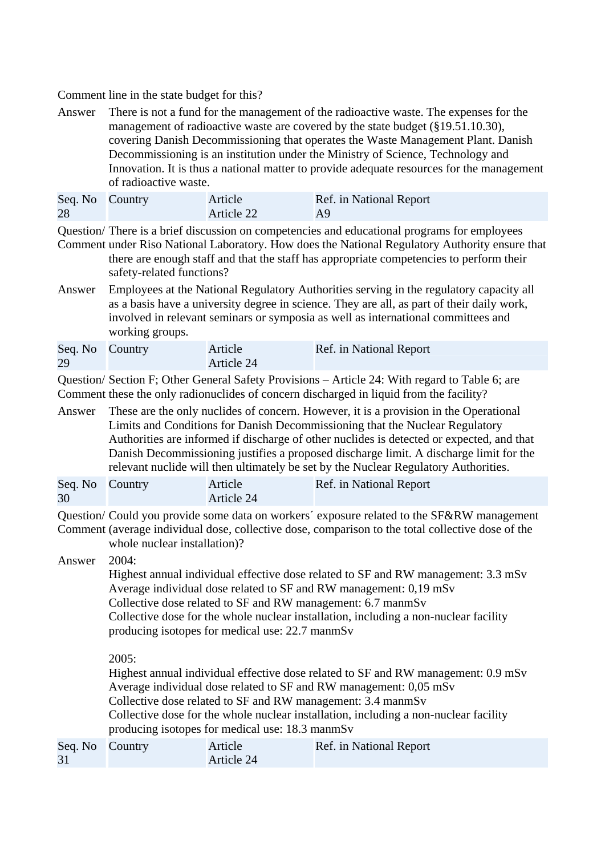Comment line in the state budget for this?

Answer There is not a fund for the management of the radioactive waste. The expenses for the management of radioactive waste are covered by the state budget (§19.51.10.30), covering Danish Decommissioning that operates the Waste Management Plant. Danish Decommissioning is an institution under the Ministry of Science, Technology and Innovation. It is thus a national matter to provide adequate resources for the management of radioactive waste.

| Seq. No Country | Article    | Ref. in National Report |
|-----------------|------------|-------------------------|
| 28              | Article 22 | A9                      |

Question/ There is a brief discussion on competencies and educational programs for employees Comment under Riso National Laboratory. How does the National Regulatory Authority ensure that

there are enough staff and that the staff has appropriate competencies to perform their safety-related functions?

Answer Employees at the National Regulatory Authorities serving in the regulatory capacity all as a basis have a university degree in science. They are all, as part of their daily work, involved in relevant seminars or symposia as well as international committees and working groups.

| Seq. No Country | Article    | Ref. in National Report |
|-----------------|------------|-------------------------|
| 29              | Article 24 |                         |

Question/ Section F; Other General Safety Provisions – Article 24: With regard to Table 6; are Comment these the only radionuclides of concern discharged in liquid from the facility?

Answer These are the only nuclides of concern. However, it is a provision in the Operational Limits and Conditions for Danish Decommissioning that the Nuclear Regulatory Authorities are informed if discharge of other nuclides is detected or expected, and that Danish Decommissioning justifies a proposed discharge limit. A discharge limit for the relevant nuclide will then ultimately be set by the Nuclear Regulatory Authorities.

| Seq. No Country | Article    | Ref. in National Report |
|-----------------|------------|-------------------------|
| 30              | Article 24 |                         |

Question/ Could you provide some data on workers´ exposure related to the SF&RW management

Comment (average individual dose, collective dose, comparison to the total collective dose of the whole nuclear installation)?

Answer 2004:

31

Highest annual individual effective dose related to SF and RW management: 3.3 mSv Average individual dose related to SF and RW management: 0,19 mSv Collective dose related to SF and RW management: 6.7 manmSv Collective dose for the whole nuclear installation, including a non-nuclear facility producing isotopes for medical use: 22.7 manmSv

2005:

Highest annual individual effective dose related to SF and RW management: 0.9 mSv Average individual dose related to SF and RW management: 0,05 mSv Collective dose related to SF and RW management: 3.4 manmSv Collective dose for the whole nuclear installation, including a non-nuclear facility producing isotopes for medical use: 18.3 manmSv Seq. No Country Article Article 24 Ref. in National Report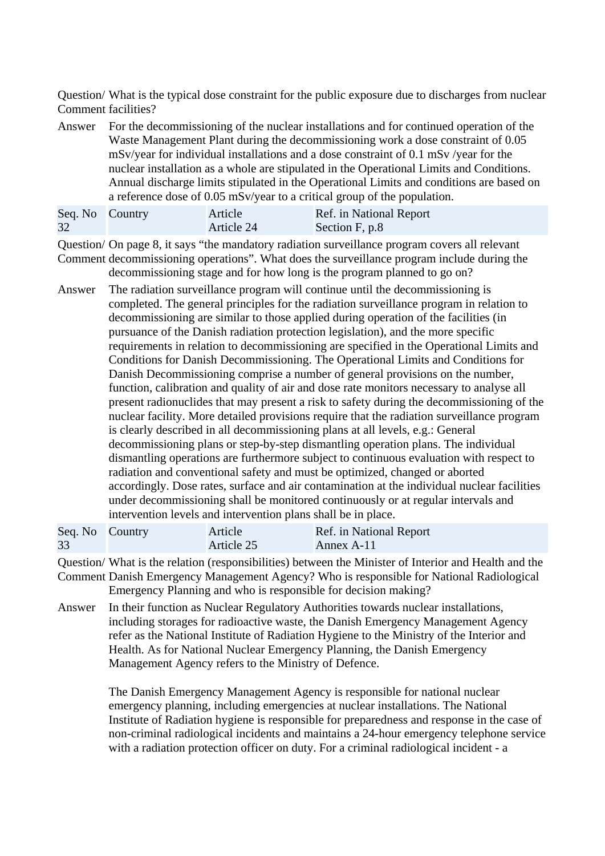Question/ What is the typical dose constraint for the public exposure due to discharges from nuclear Comment facilities?

Answer For the decommissioning of the nuclear installations and for continued operation of the Waste Management Plant during the decommissioning work a dose constraint of 0.05 mSv/year for individual installations and a dose constraint of 0.1 mSv /year for the nuclear installation as a whole are stipulated in the Operational Limits and Conditions. Annual discharge limits stipulated in the Operational Limits and conditions are based on a reference dose of 0.05 mSv/year to a critical group of the population.

| Seq. No Country | Article    | Ref. in National Report |
|-----------------|------------|-------------------------|
| 32              | Article 24 | Section F, p.8          |

Question/ On page 8, it says "the mandatory radiation surveillance program covers all relevant Comment decommissioning operations". What does the surveillance program include during the decommissioning stage and for how long is the program planned to go on?

Answer The radiation surveillance program will continue until the decommissioning is completed. The general principles for the radiation surveillance program in relation to decommissioning are similar to those applied during operation of the facilities (in pursuance of the Danish radiation protection legislation), and the more specific requirements in relation to decommissioning are specified in the Operational Limits and Conditions for Danish Decommissioning. The Operational Limits and Conditions for Danish Decommissioning comprise a number of general provisions on the number, function, calibration and quality of air and dose rate monitors necessary to analyse all present radionuclides that may present a risk to safety during the decommissioning of the nuclear facility. More detailed provisions require that the radiation surveillance program is clearly described in all decommissioning plans at all levels, e.g.: General decommissioning plans or step-by-step dismantling operation plans. The individual dismantling operations are furthermore subject to continuous evaluation with respect to radiation and conventional safety and must be optimized, changed or aborted accordingly. Dose rates, surface and air contamination at the individual nuclear facilities under decommissioning shall be monitored continuously or at regular intervals and intervention levels and intervention plans shall be in place.

| Seq. No Country | Article    | Ref. in National Report |
|-----------------|------------|-------------------------|
| 33              | Article 25 | Annex A-11              |

Question/ What is the relation (responsibilities) between the Minister of Interior and Health and the

- Comment Danish Emergency Management Agency? Who is responsible for National Radiological Emergency Planning and who is responsible for decision making?
- Answer In their function as Nuclear Regulatory Authorities towards nuclear installations, including storages for radioactive waste, the Danish Emergency Management Agency refer as the National Institute of Radiation Hygiene to the Ministry of the Interior and Health. As for National Nuclear Emergency Planning, the Danish Emergency Management Agency refers to the Ministry of Defence.

The Danish Emergency Management Agency is responsible for national nuclear emergency planning, including emergencies at nuclear installations. The National Institute of Radiation hygiene is responsible for preparedness and response in the case of non-criminal radiological incidents and maintains a 24-hour emergency telephone service with a radiation protection officer on duty. For a criminal radiological incident - a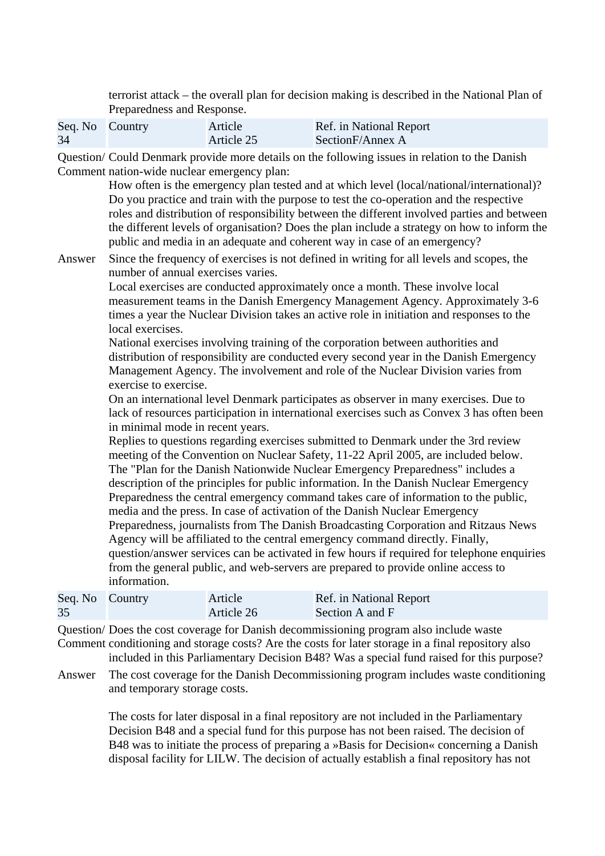terrorist attack – the overall plan for decision making is described in the National Plan of Preparedness and Response.

| Seq. No Country | Article    | Ref. in National Report |
|-----------------|------------|-------------------------|
| 34              | Article 25 | SectionF/Annex A        |

Question/ Could Denmark provide more details on the following issues in relation to the Danish Comment nation-wide nuclear emergency plan:

> How often is the emergency plan tested and at which level (local/national/international)? Do you practice and train with the purpose to test the co-operation and the respective roles and distribution of responsibility between the different involved parties and between the different levels of organisation? Does the plan include a strategy on how to inform the public and media in an adequate and coherent way in case of an emergency?

Answer Since the frequency of exercises is not defined in writing for all levels and scopes, the number of annual exercises varies.

> Local exercises are conducted approximately once a month. These involve local measurement teams in the Danish Emergency Management Agency. Approximately 3-6 times a year the Nuclear Division takes an active role in initiation and responses to the local exercises.

> National exercises involving training of the corporation between authorities and distribution of responsibility are conducted every second year in the Danish Emergency Management Agency. The involvement and role of the Nuclear Division varies from exercise to exercise.

On an international level Denmark participates as observer in many exercises. Due to lack of resources participation in international exercises such as Convex 3 has often been in minimal mode in recent years.

Replies to questions regarding exercises submitted to Denmark under the 3rd review meeting of the Convention on Nuclear Safety, 11-22 April 2005, are included below. The "Plan for the Danish Nationwide Nuclear Emergency Preparedness" includes a description of the principles for public information. In the Danish Nuclear Emergency Preparedness the central emergency command takes care of information to the public, media and the press. In case of activation of the Danish Nuclear Emergency Preparedness, journalists from The Danish Broadcasting Corporation and Ritzaus News Agency will be affiliated to the central emergency command directly. Finally, question/answer services can be activated in few hours if required for telephone enquiries from the general public, and web-servers are prepared to provide online access to information.

| Seq. No Country | Article    | Ref. in National Report |
|-----------------|------------|-------------------------|
| 35              | Article 26 | Section A and F         |

Question/ Does the cost coverage for Danish decommissioning program also include waste Comment conditioning and storage costs? Are the costs for later storage in a final repository also

included in this Parliamentary Decision B48? Was a special fund raised for this purpose?

Answer The cost coverage for the Danish Decommissioning program includes waste conditioning and temporary storage costs.

> The costs for later disposal in a final repository are not included in the Parliamentary Decision B48 and a special fund for this purpose has not been raised. The decision of B48 was to initiate the process of preparing a »Basis for Decision« concerning a Danish disposal facility for LILW. The decision of actually establish a final repository has not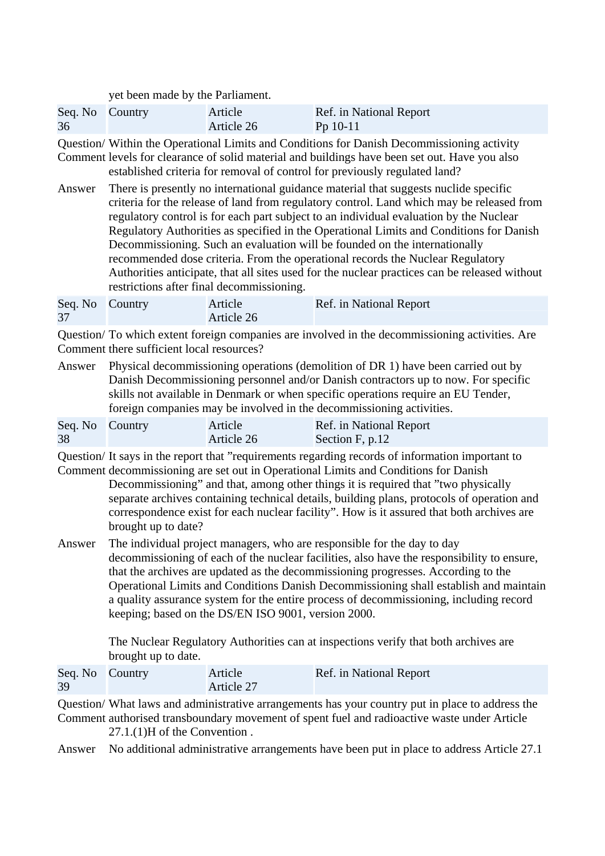yet been made by the Parliament.

| Seq. No Country | Article    | Ref. in National Report |
|-----------------|------------|-------------------------|
| 36              | Article 26 | $Pp 10-11$              |

Question/ Within the Operational Limits and Conditions for Danish Decommissioning activity Comment levels for clearance of solid material and buildings have been set out. Have you also

established criteria for removal of control for previously regulated land?

Answer There is presently no international guidance material that suggests nuclide specific criteria for the release of land from regulatory control. Land which may be released from regulatory control is for each part subject to an individual evaluation by the Nuclear Regulatory Authorities as specified in the Operational Limits and Conditions for Danish Decommissioning. Such an evaluation will be founded on the internationally recommended dose criteria. From the operational records the Nuclear Regulatory Authorities anticipate, that all sites used for the nuclear practices can be released without restrictions after final decommissioning.

| Seq. No Country | Article    | Ref. in National Report |
|-----------------|------------|-------------------------|
| 37              | Article 26 |                         |

Question/ To which extent foreign companies are involved in the decommissioning activities. Are Comment there sufficient local resources?

Answer Physical decommissioning operations (demolition of DR 1) have been carried out by Danish Decommissioning personnel and/or Danish contractors up to now. For specific skills not available in Denmark or when specific operations require an EU Tender, foreign companies may be involved in the decommissioning activities.

| Seq. No Country | Article    | Ref. in National Report |
|-----------------|------------|-------------------------|
| 38              | Article 26 | Section F, p.12         |

Question/ It says in the report that "requirements regarding records of information important to

Comment decommissioning are set out in Operational Limits and Conditions for Danish Decommissioning" and that, among other things it is required that "two physically separate archives containing technical details, building plans, protocols of operation and correspondence exist for each nuclear facility". How is it assured that both archives are brought up to date?

Answer The individual project managers, who are responsible for the day to day decommissioning of each of the nuclear facilities, also have the responsibility to ensure, that the archives are updated as the decommissioning progresses. According to the Operational Limits and Conditions Danish Decommissioning shall establish and maintain a quality assurance system for the entire process of decommissioning, including record keeping; based on the DS/EN ISO 9001, version 2000.

> The Nuclear Regulatory Authorities can at inspections verify that both archives are brought up to date.

| Seq. No Country | Article    | Ref. in National Report |
|-----------------|------------|-------------------------|
| 39              | Article 27 |                         |

Question/ What laws and administrative arrangements has your country put in place to address the Comment authorised transboundary movement of spent fuel and radioactive waste under Article

27.1.(1)H of the Convention .

Answer No additional administrative arrangements have been put in place to address Article 27.1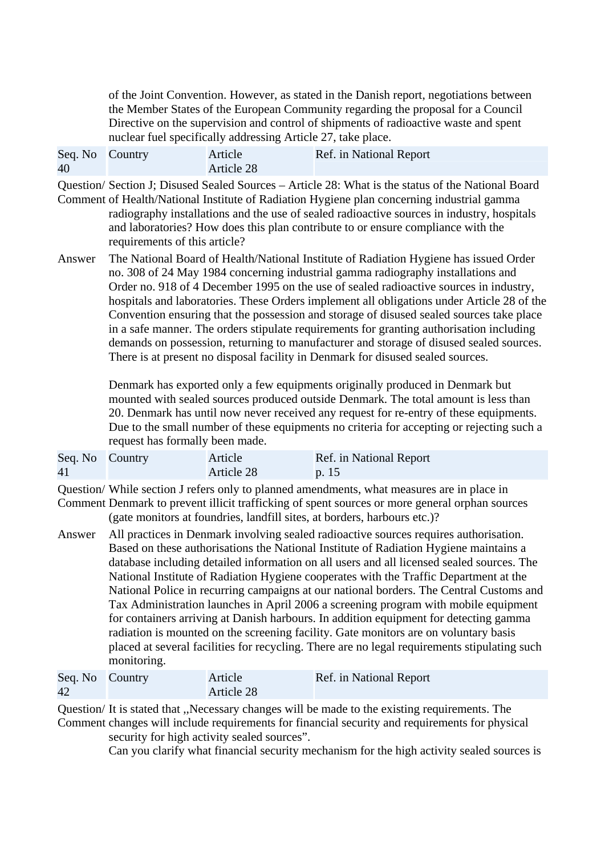of the Joint Convention. However, as stated in the Danish report, negotiations between the Member States of the European Community regarding the proposal for a Council Directive on the supervision and control of shipments of radioactive waste and spent nuclear fuel specifically addressing Article 27, take place.

| Seq. No Country | Article    | Ref. in National Report |
|-----------------|------------|-------------------------|
| 40              | Article 28 |                         |

Question/ Section J; Disused Sealed Sources – Article 28: What is the status of the National Board

- Comment of Health/National Institute of Radiation Hygiene plan concerning industrial gamma radiography installations and the use of sealed radioactive sources in industry, hospitals and laboratories? How does this plan contribute to or ensure compliance with the requirements of this article?
- Answer The National Board of Health/National Institute of Radiation Hygiene has issued Order no. 308 of 24 May 1984 concerning industrial gamma radiography installations and Order no. 918 of 4 December 1995 on the use of sealed radioactive sources in industry, hospitals and laboratories. These Orders implement all obligations under Article 28 of the Convention ensuring that the possession and storage of disused sealed sources take place in a safe manner. The orders stipulate requirements for granting authorisation including demands on possession, returning to manufacturer and storage of disused sealed sources. There is at present no disposal facility in Denmark for disused sealed sources.

Denmark has exported only a few equipments originally produced in Denmark but mounted with sealed sources produced outside Denmark. The total amount is less than 20. Denmark has until now never received any request for re-entry of these equipments. Due to the small number of these equipments no criteria for accepting or rejecting such a request has formally been made.

| Seq. No Country | Article    | Ref. in National Report |
|-----------------|------------|-------------------------|
| 41              | Article 28 | p. 15                   |

Question/ While section J refers only to planned amendments, what measures are in place in Comment Denmark to prevent illicit trafficking of spent sources or more general orphan sources

(gate monitors at foundries, landfill sites, at borders, harbours etc.)?

Answer All practices in Denmark involving sealed radioactive sources requires authorisation. Based on these authorisations the National Institute of Radiation Hygiene maintains a database including detailed information on all users and all licensed sealed sources. The National Institute of Radiation Hygiene cooperates with the Traffic Department at the National Police in recurring campaigns at our national borders. The Central Customs and Tax Administration launches in April 2006 a screening program with mobile equipment for containers arriving at Danish harbours. In addition equipment for detecting gamma radiation is mounted on the screening facility. Gate monitors are on voluntary basis placed at several facilities for recycling. There are no legal requirements stipulating such monitoring.

| Seq. No Country<br>42 | Article<br>Article 28 | Ref. in National Report |
|-----------------------|-----------------------|-------------------------|
|                       |                       |                         |

Question/ It is stated that ,,Necessary changes will be made to the existing requirements. The Comment changes will include requirements for financial security and requirements for physical security for high activity sealed sources".

Can you clarify what financial security mechanism for the high activity sealed sources is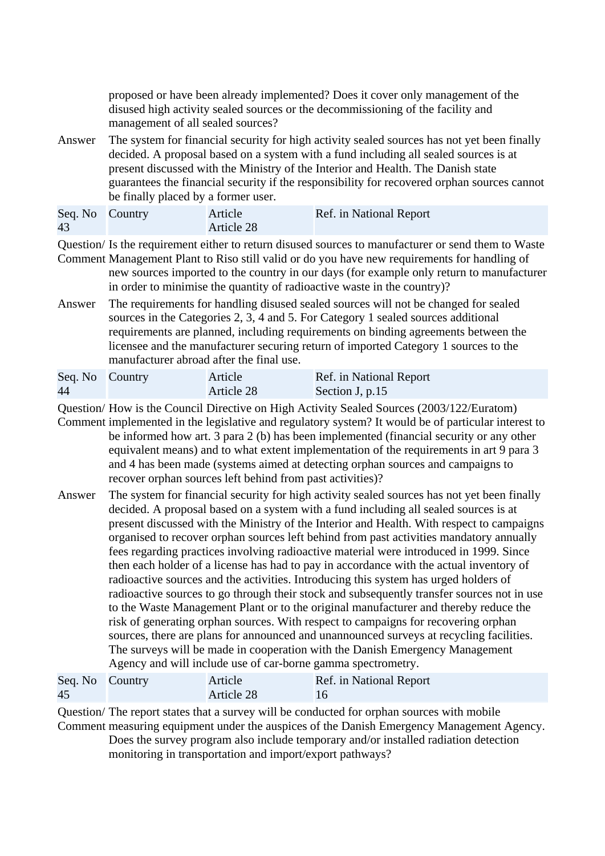proposed or have been already implemented? Does it cover only management of the disused high activity sealed sources or the decommissioning of the facility and management of all sealed sources?

Answer The system for financial security for high activity sealed sources has not yet been finally decided. A proposal based on a system with a fund including all sealed sources is at present discussed with the Ministry of the Interior and Health. The Danish state guarantees the financial security if the responsibility for recovered orphan sources cannot be finally placed by a former user.

| Seq. No Country | Article    | Ref. in National Report |
|-----------------|------------|-------------------------|
| 43              | Article 28 |                         |

Question/ Is the requirement either to return disused sources to manufacturer or send them to Waste

- Comment Management Plant to Riso still valid or do you have new requirements for handling of new sources imported to the country in our days (for example only return to manufacturer in order to minimise the quantity of radioactive waste in the country)?
- Answer The requirements for handling disused sealed sources will not be changed for sealed sources in the Categories 2, 3, 4 and 5. For Category 1 sealed sources additional requirements are planned, including requirements on binding agreements between the licensee and the manufacturer securing return of imported Category 1 sources to the manufacturer abroad after the final use.

| Seq. No Country | Article    | Ref. in National Report |
|-----------------|------------|-------------------------|
| 44              | Article 28 | Section J, p.15         |

Question/ How is the Council Directive on High Activity Sealed Sources (2003/122/Euratom)

- Comment implemented in the legislative and regulatory system? It would be of particular interest to be informed how art. 3 para 2 (b) has been implemented (financial security or any other equivalent means) and to what extent implementation of the requirements in art 9 para 3 and 4 has been made (systems aimed at detecting orphan sources and campaigns to recover orphan sources left behind from past activities)?
- Answer The system for financial security for high activity sealed sources has not yet been finally decided. A proposal based on a system with a fund including all sealed sources is at present discussed with the Ministry of the Interior and Health. With respect to campaigns organised to recover orphan sources left behind from past activities mandatory annually fees regarding practices involving radioactive material were introduced in 1999. Since then each holder of a license has had to pay in accordance with the actual inventory of radioactive sources and the activities. Introducing this system has urged holders of radioactive sources to go through their stock and subsequently transfer sources not in use to the Waste Management Plant or to the original manufacturer and thereby reduce the risk of generating orphan sources. With respect to campaigns for recovering orphan sources, there are plans for announced and unannounced surveys at recycling facilities. The surveys will be made in cooperation with the Danish Emergency Management Agency and will include use of car-borne gamma spectrometry.

| Seq. No Country | Article    | Ref. in National Report |
|-----------------|------------|-------------------------|
| 45              | Article 28 | $\sqrt{16}$             |

Question/ The report states that a survey will be conducted for orphan sources with mobile Comment measuring equipment under the auspices of the Danish Emergency Management Agency.

Does the survey program also include temporary and/or installed radiation detection monitoring in transportation and import/export pathways?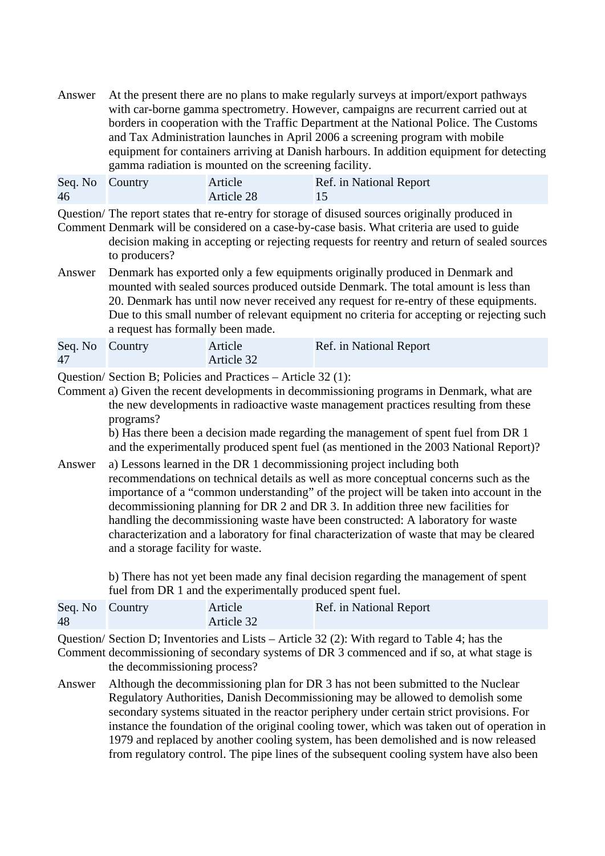Answer At the present there are no plans to make regularly surveys at import/export pathways with car-borne gamma spectrometry. However, campaigns are recurrent carried out at borders in cooperation with the Traffic Department at the National Police. The Customs and Tax Administration launches in April 2006 a screening program with mobile equipment for containers arriving at Danish harbours. In addition equipment for detecting gamma radiation is mounted on the screening facility.

| Seq. No Country | Article    | Ref. in National Report |
|-----------------|------------|-------------------------|
| 46              | Article 28 |                         |

Question/ The report states that re-entry for storage of disused sources originally produced in

- Comment Denmark will be considered on a case-by-case basis. What criteria are used to guide decision making in accepting or rejecting requests for reentry and return of sealed sources to producers?
- Answer Denmark has exported only a few equipments originally produced in Denmark and mounted with sealed sources produced outside Denmark. The total amount is less than 20. Denmark has until now never received any request for re-entry of these equipments. Due to this small number of relevant equipment no criteria for accepting or rejecting such a request has formally been made.

| Seq. No Country | Article    | Ref. in National Report |
|-----------------|------------|-------------------------|
| 47              | Article 32 |                         |

Question/ Section B; Policies and Practices – Article 32 (1):

Comment a) Given the recent developments in decommissioning programs in Denmark, what are the new developments in radioactive waste management practices resulting from these programs?

b) Has there been a decision made regarding the management of spent fuel from DR 1 and the experimentally produced spent fuel (as mentioned in the 2003 National Report)?

Answer a) Lessons learned in the DR 1 decommissioning project including both recommendations on technical details as well as more conceptual concerns such as the importance of a "common understanding" of the project will be taken into account in the decommissioning planning for DR 2 and DR 3. In addition three new facilities for handling the decommissioning waste have been constructed: A laboratory for waste characterization and a laboratory for final characterization of waste that may be cleared and a storage facility for waste.

> b) There has not yet been made any final decision regarding the management of spent fuel from DR 1 and the experimentally produced spent fuel.

| Seq. No Country | Article    | Ref. in National Report |
|-----------------|------------|-------------------------|
| 48              | Article 32 |                         |

Question/ Section D; Inventories and Lists – Article 32 (2): With regard to Table 4; has the

Comment decommissioning of secondary systems of DR 3 commenced and if so, at what stage is the decommissioning process?

Answer Although the decommissioning plan for DR 3 has not been submitted to the Nuclear Regulatory Authorities, Danish Decommissioning may be allowed to demolish some secondary systems situated in the reactor periphery under certain strict provisions. For instance the foundation of the original cooling tower, which was taken out of operation in 1979 and replaced by another cooling system, has been demolished and is now released from regulatory control. The pipe lines of the subsequent cooling system have also been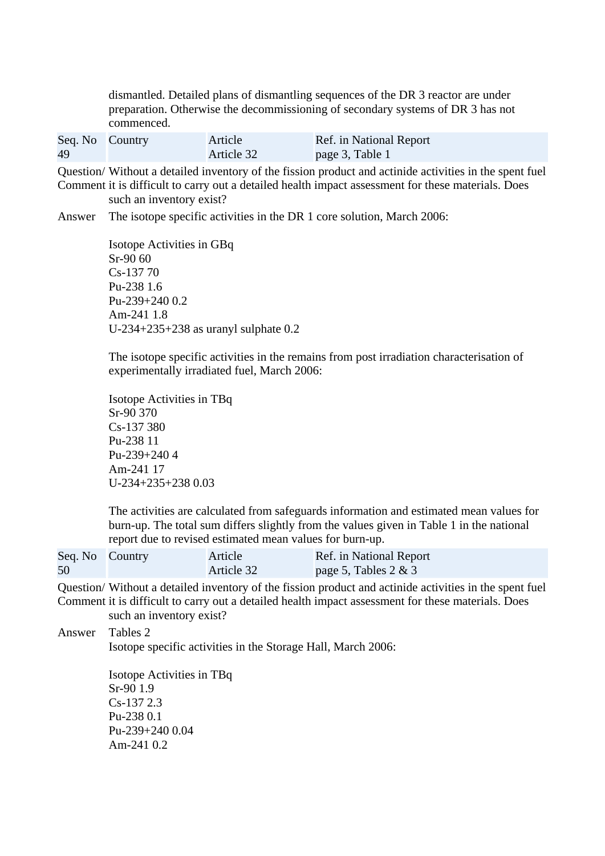dismantled. Detailed plans of dismantling sequences of the DR 3 reactor are under preparation. Otherwise the decommissioning of secondary systems of DR 3 has not commenced.

| Seq. No Country | Article    | Ref. in National Report |
|-----------------|------------|-------------------------|
| 49              | Article 32 | page 3, Table 1         |

Question/ Without a detailed inventory of the fission product and actinide activities in the spent fuel Comment it is difficult to carry out a detailed health impact assessment for these materials. Does such an inventory exist?

Answer The isotope specific activities in the DR 1 core solution, March 2006:

Isotope Activities in GBq Sr-90 60 Cs-137 70 Pu-238 1.6 Pu-239+240 0.2 Am-241 1.8 U-234+235+238 as uranyl sulphate 0.2

The isotope specific activities in the remains from post irradiation characterisation of experimentally irradiated fuel, March 2006:

Isotope Activities in TBq Sr-90 370 Cs-137 380 Pu-238 11 Pu-239+240 4 Am-241 17 U-234+235+238 0.03

The activities are calculated from safeguards information and estimated mean values for burn-up. The total sum differs slightly from the values given in Table 1 in the national report due to revised estimated mean values for burn-up.

| Seq. No Country | Article    | Ref. in National Report |
|-----------------|------------|-------------------------|
| 50              | Article 32 | page 5, Tables $2 \& 3$ |

Question/ Without a detailed inventory of the fission product and actinide activities in the spent fuel Comment it is difficult to carry out a detailed health impact assessment for these materials. Does such an inventory exist?

Answer Tables 2 Isotope specific activities in the Storage Hall, March 2006:

> Isotope Activities in TBq Sr-90 1.9 Cs-137 2.3 Pu-238 0.1 Pu-239+240 0.04 Am-241 0.2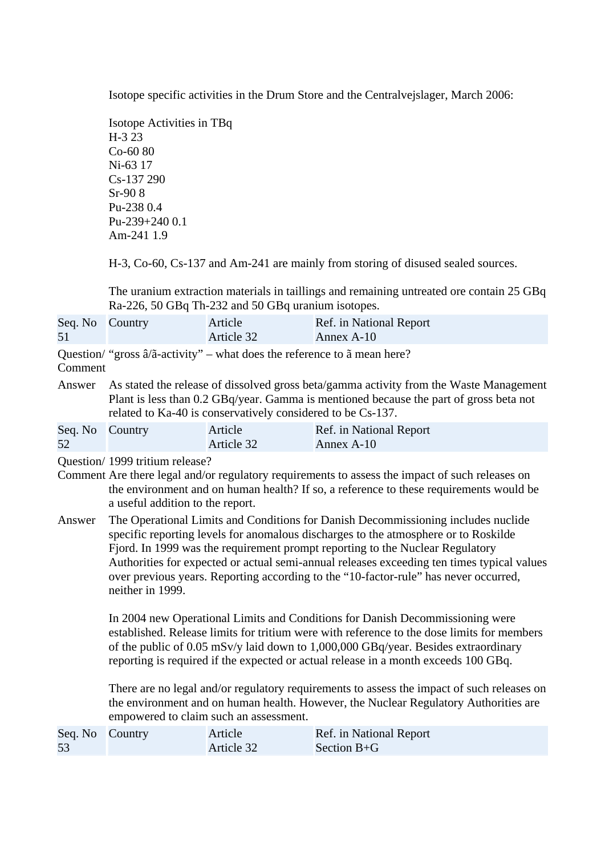Isotope specific activities in the Drum Store and the Centralvejslager, March 2006:

Isotope Activities in TBq H-3 23 Co-60 80 Ni-63 17 Cs-137 290 Sr-90 8 Pu-238 0.4 Pu-239+240 0.1 Am-241 1.9

H-3, Co-60, Cs-137 and Am-241 are mainly from storing of disused sealed sources.

The uranium extraction materials in taillings and remaining untreated ore contain 25 GBq Ra-226, 50 GBq Th-232 and 50 GBq uranium isotopes.

| Seq. No Country | Article    | Ref. in National Report |
|-----------------|------------|-------------------------|
| 51              | Article 32 | Annex A-10              |

Question/ "gross â/ã-activity" – what does the reference to ã mean here?

## Comment

Answer As stated the release of dissolved gross beta/gamma activity from the Waste Management Plant is less than 0.2 GBq/year. Gamma is mentioned because the part of gross beta not related to Ka-40 is conservatively considered to be Cs-137.

| Seq. No Country | Article    | Ref. in National Report |
|-----------------|------------|-------------------------|
| 52              | Article 32 | Annex A-10              |

Question/ 1999 tritium release?

- Comment Are there legal and/or regulatory requirements to assess the impact of such releases on the environment and on human health? If so, a reference to these requirements would be a useful addition to the report.
- Answer The Operational Limits and Conditions for Danish Decommissioning includes nuclide specific reporting levels for anomalous discharges to the atmosphere or to Roskilde Fjord. In 1999 was the requirement prompt reporting to the Nuclear Regulatory Authorities for expected or actual semi-annual releases exceeding ten times typical values over previous years. Reporting according to the "10-factor-rule" has never occurred, neither in 1999.

In 2004 new Operational Limits and Conditions for Danish Decommissioning were established. Release limits for tritium were with reference to the dose limits for members of the public of 0.05 mSv/y laid down to 1,000,000 GBq/year. Besides extraordinary reporting is required if the expected or actual release in a month exceeds 100 GBq.

There are no legal and/or regulatory requirements to assess the impact of such releases on the environment and on human health. However, the Nuclear Regulatory Authorities are empowered to claim such an assessment.

| Seq. No Country | Article    | Ref. in National Report |
|-----------------|------------|-------------------------|
| 53              | Article 32 | Section $B+G$           |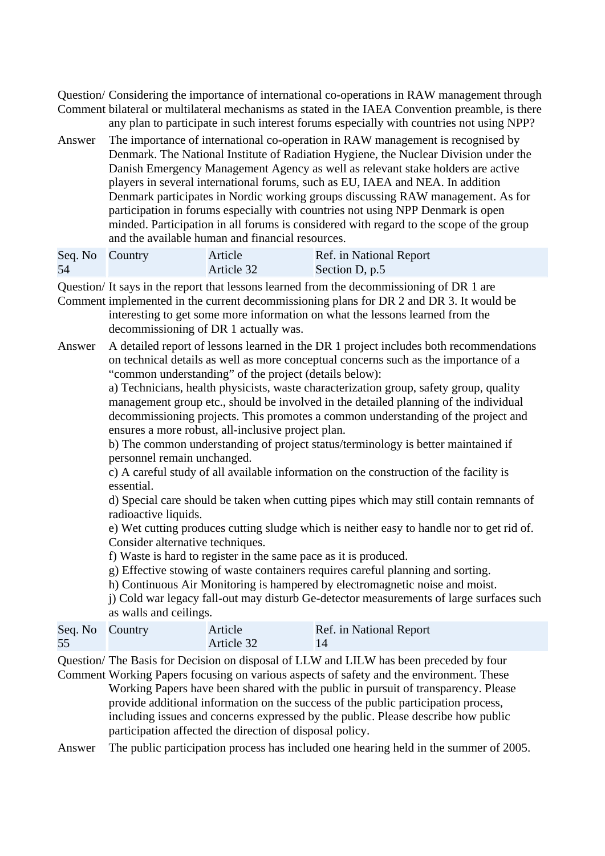Question/ Considering the importance of international co-operations in RAW management through Comment bilateral or multilateral mechanisms as stated in the IAEA Convention preamble, is there

- any plan to participate in such interest forums especially with countries not using NPP?
- Answer The importance of international co-operation in RAW management is recognised by Denmark. The National Institute of Radiation Hygiene, the Nuclear Division under the Danish Emergency Management Agency as well as relevant stake holders are active players in several international forums, such as EU, IAEA and NEA. In addition Denmark participates in Nordic working groups discussing RAW management. As for participation in forums especially with countries not using NPP Denmark is open minded. Participation in all forums is considered with regard to the scope of the group and the available human and financial resources.

| Seq. No Country | Article    | Ref. in National Report |
|-----------------|------------|-------------------------|
| 54              | Article 32 | Section D, p.5          |

Question/ It says in the report that lessons learned from the decommissioning of DR 1 are

Comment implemented in the current decommissioning plans for DR 2 and DR 3. It would be interesting to get some more information on what the lessons learned from the decommissioning of DR 1 actually was.

Answer A detailed report of lessons learned in the DR 1 project includes both recommendations on technical details as well as more conceptual concerns such as the importance of a "common understanding" of the project (details below):

a) Technicians, health physicists, waste characterization group, safety group, quality management group etc., should be involved in the detailed planning of the individual decommissioning projects. This promotes a common understanding of the project and ensures a more robust, all-inclusive project plan.

b) The common understanding of project status/terminology is better maintained if personnel remain unchanged.

c) A careful study of all available information on the construction of the facility is essential.

d) Special care should be taken when cutting pipes which may still contain remnants of radioactive liquids.

e) Wet cutting produces cutting sludge which is neither easy to handle nor to get rid of. Consider alternative techniques.

f) Waste is hard to register in the same pace as it is produced.

g) Effective stowing of waste containers requires careful planning and sorting.

h) Continuous Air Monitoring is hampered by electromagnetic noise and moist.

j) Cold war legacy fall-out may disturb Ge-detector measurements of large surfaces such as walls and ceilings.

| Seq. No Country | Article    | Ref. in National Report |
|-----------------|------------|-------------------------|
| 55              | Article 32 | 14                      |

Question/ The Basis for Decision on disposal of LLW and LILW has been preceded by four Comment Working Papers focusing on various aspects of safety and the environment. These

Working Papers have been shared with the public in pursuit of transparency. Please provide additional information on the success of the public participation process, including issues and concerns expressed by the public. Please describe how public participation affected the direction of disposal policy.

Answer The public participation process has included one hearing held in the summer of 2005.